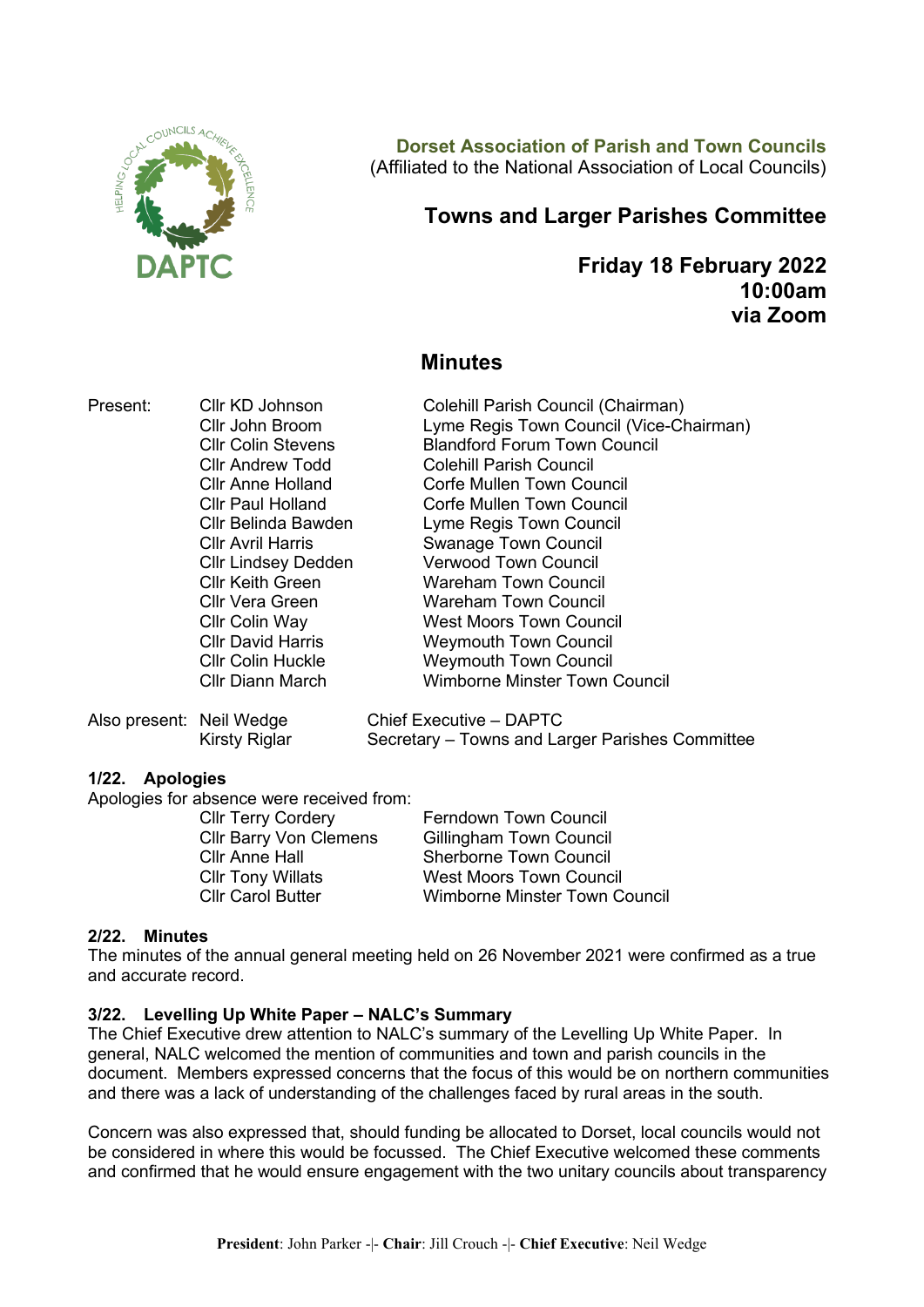

**Dorset Association of Parish and Town Councils** (Affiliated to the National Association of Local Councils)

# **Towns and Larger Parishes Committee**

**Friday 18 February 2022 10:00am via Zoom**

# **Minutes**

Present: Cllr KD Johnson Colehill Parish Council (Chairman)

Cllr John Broom Lyme Regis Town Council (Vice-Chairman) Cllr Colin Stevens Blandford Forum Town Council Cllr Andrew Todd Colehill Parish Council Cllr Anne Holland Corfe Mullen Town Council<br>Cllr Paul Holland Corfe Mullen Town Council Cllr Belinda Bawden Lyme Regis Town Council Cllr Avril Harris Swanage Town Council Cllr Lindsey Dedden Verwood Town Council Cllr Keith Green Wareham Town Council Cllr Vera Green Wareham Town Council Cllr Colin Way West Moors Town Council **Cllr David Harris Cllr David Harris Meymouth Town Council**<br>Cllr Colin Huckle Cllr Weymouth Town Council Cllr Diann March Wimborne Minster Town Council

Also present: Neil Wedge Chief Executive – DAPTC

Kirsty Riglar Secretary – Towns and Larger Parishes Committee

Corfe Mullen Town Council

**Weymouth Town Council** 

# **1/22. Apologies**

Apologies for absence were received from:

Cllr Terry Cordery **Ferndown Town Council** Cllr Barry Von Clemens Gillingham Town Council Cllr Anne Hall Sherborne Town Council Cllr Tony Willats West Moors Town Council

Cllr Carol Butter Wimborne Minster Town Council

# **2/22. Minutes**

The minutes of the annual general meeting held on 26 November 2021 were confirmed as a true and accurate record.

# **3/22. Levelling Up White Paper – NALC's Summary**

The Chief Executive drew attention to NALC's summary of the Levelling Up White Paper. In general, NALC welcomed the mention of communities and town and parish councils in the document. Members expressed concerns that the focus of this would be on northern communities and there was a lack of understanding of the challenges faced by rural areas in the south.

Concern was also expressed that, should funding be allocated to Dorset, local councils would not be considered in where this would be focussed. The Chief Executive welcomed these comments and confirmed that he would ensure engagement with the two unitary councils about transparency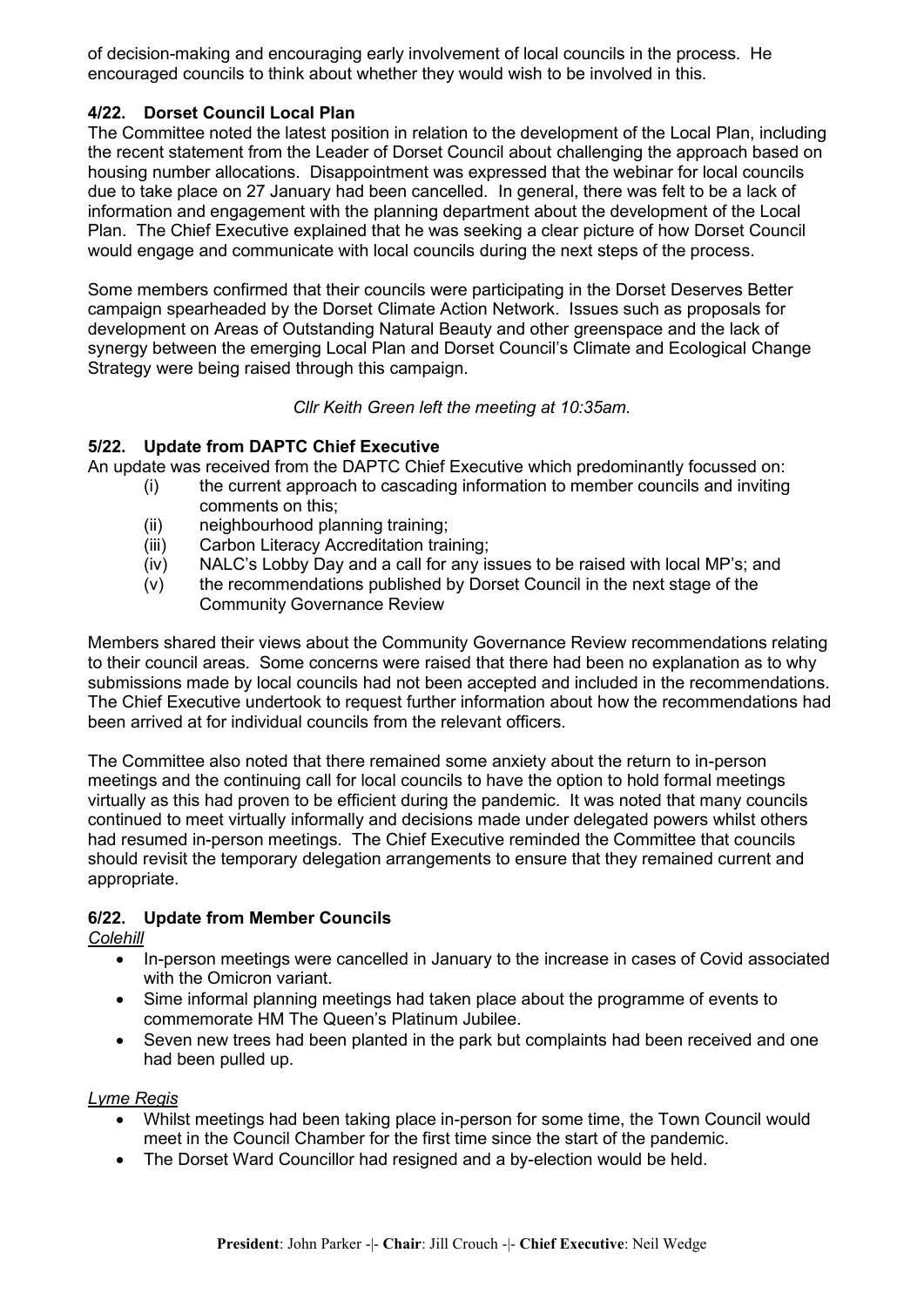of decision-making and encouraging early involvement of local councils in the process. He encouraged councils to think about whether they would wish to be involved in this.

# **4/22. Dorset Council Local Plan**

The Committee noted the latest position in relation to the development of the Local Plan, including the recent statement from the Leader of Dorset Council about challenging the approach based on housing number allocations. Disappointment was expressed that the webinar for local councils due to take place on 27 January had been cancelled. In general, there was felt to be a lack of information and engagement with the planning department about the development of the Local Plan. The Chief Executive explained that he was seeking a clear picture of how Dorset Council would engage and communicate with local councils during the next steps of the process.

Some members confirmed that their councils were participating in the Dorset Deserves Better campaign spearheaded by the Dorset Climate Action Network. Issues such as proposals for development on Areas of Outstanding Natural Beauty and other greenspace and the lack of synergy between the emerging Local Plan and Dorset Council's Climate and Ecological Change Strategy were being raised through this campaign.

# *Cllr Keith Green left the meeting at 10:35am.*

# **5/22. Update from DAPTC Chief Executive**

An update was received from the DAPTC Chief Executive which predominantly focussed on:

- (i) the current approach to cascading information to member councils and inviting comments on this;
- (ii) neighbourhood planning training;
- (iii) Carbon Literacy Accreditation training;
- (iv) NALC's Lobby Day and a call for any issues to be raised with local MP's; and
- (v) the recommendations published by Dorset Council in the next stage of the Community Governance Review

Members shared their views about the Community Governance Review recommendations relating to their council areas. Some concerns were raised that there had been no explanation as to why submissions made by local councils had not been accepted and included in the recommendations. The Chief Executive undertook to request further information about how the recommendations had been arrived at for individual councils from the relevant officers.

The Committee also noted that there remained some anxiety about the return to in-person meetings and the continuing call for local councils to have the option to hold formal meetings virtually as this had proven to be efficient during the pandemic. It was noted that many councils continued to meet virtually informally and decisions made under delegated powers whilst others had resumed in-person meetings. The Chief Executive reminded the Committee that councils should revisit the temporary delegation arrangements to ensure that they remained current and appropriate.

# **6/22. Update from Member Councils**

*Colehill*

- In-person meetings were cancelled in January to the increase in cases of Covid associated with the Omicron variant.
- Sime informal planning meetings had taken place about the programme of events to commemorate HM The Queen's Platinum Jubilee.
- Seven new trees had been planted in the park but complaints had been received and one had been pulled up.

# *Lyme Regis*

- Whilst meetings had been taking place in-person for some time, the Town Council would meet in the Council Chamber for the first time since the start of the pandemic.
- The Dorset Ward Councillor had resigned and a by-election would be held.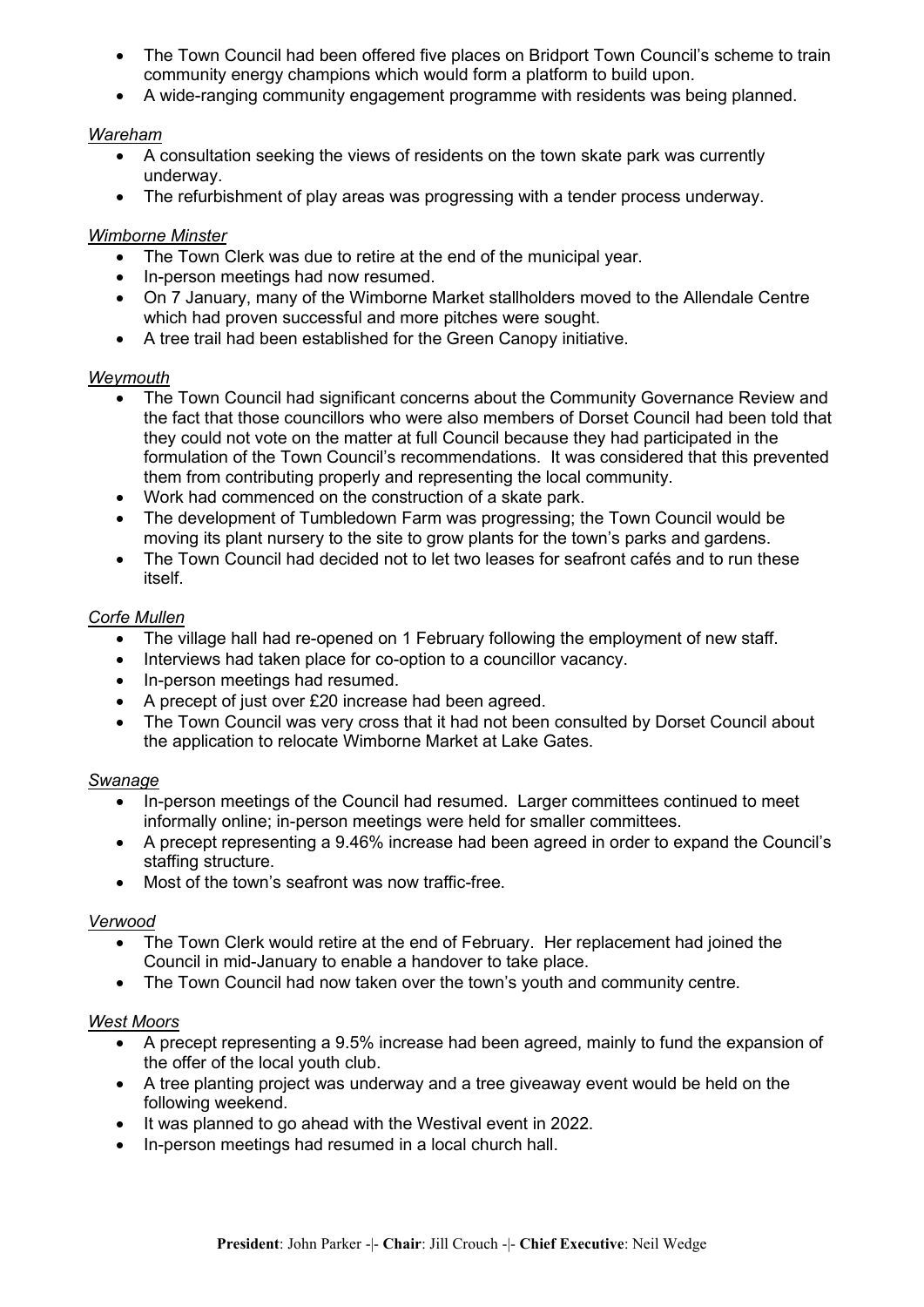- The Town Council had been offered five places on Bridport Town Council's scheme to train community energy champions which would form a platform to build upon.
- A wide-ranging community engagement programme with residents was being planned.

# *Wareham*

- A consultation seeking the views of residents on the town skate park was currently underway.
- The refurbishment of play areas was progressing with a tender process underway.

# *Wimborne Minster*

- The Town Clerk was due to retire at the end of the municipal year.
- In-person meetings had now resumed.
- On 7 January, many of the Wimborne Market stallholders moved to the Allendale Centre which had proven successful and more pitches were sought.
- A tree trail had been established for the Green Canopy initiative.

# *Weymouth*

- The Town Council had significant concerns about the Community Governance Review and the fact that those councillors who were also members of Dorset Council had been told that they could not vote on the matter at full Council because they had participated in the formulation of the Town Council's recommendations. It was considered that this prevented them from contributing properly and representing the local community.
- Work had commenced on the construction of a skate park.
- The development of Tumbledown Farm was progressing; the Town Council would be moving its plant nursery to the site to grow plants for the town's parks and gardens.
- The Town Council had decided not to let two leases for seafront cafés and to run these itself.

# *Corfe Mullen*

- The village hall had re-opened on 1 February following the employment of new staff.
- Interviews had taken place for co-option to a councillor vacancy.
- In-person meetings had resumed.
- A precept of just over £20 increase had been agreed.
- The Town Council was very cross that it had not been consulted by Dorset Council about the application to relocate Wimborne Market at Lake Gates.

# *Swanage*

- In-person meetings of the Council had resumed. Larger committees continued to meet informally online; in-person meetings were held for smaller committees.
- A precept representing a 9.46% increase had been agreed in order to expand the Council's staffing structure.
- Most of the town's seafront was now traffic-free.

# *Verwood*

- The Town Clerk would retire at the end of February. Her replacement had joined the Council in mid-January to enable a handover to take place.
- The Town Council had now taken over the town's youth and community centre.

# *West Moors*

- A precept representing a 9.5% increase had been agreed, mainly to fund the expansion of the offer of the local youth club.
- A tree planting project was underway and a tree giveaway event would be held on the following weekend.
- It was planned to go ahead with the Westival event in 2022.
- In-person meetings had resumed in a local church hall.